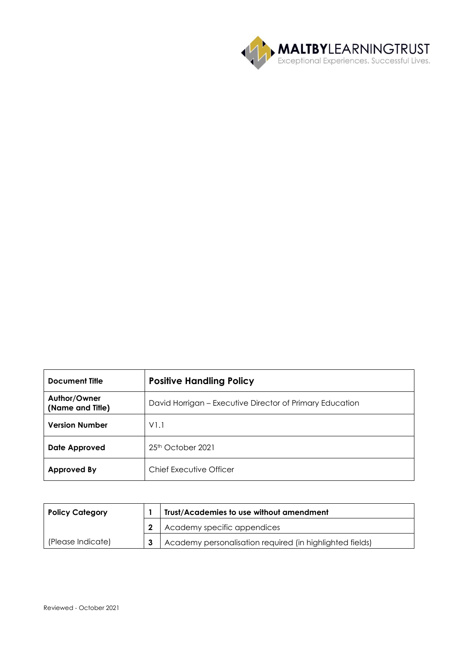

| <b>Document Title</b>            | <b>Positive Handling Policy</b>                          |
|----------------------------------|----------------------------------------------------------|
| Author/Owner<br>(Name and Title) | David Horrigan – Executive Director of Primary Education |
| <b>Version Number</b>            | V1.1                                                     |
| Date Approved                    | $25th$ October 2021                                      |
| <b>Approved By</b>               | Chief Executive Officer                                  |

| <b>Policy Category</b> | Trust/Academies to use without amendment                 |
|------------------------|----------------------------------------------------------|
|                        | Academy specific appendices                              |
| (Please Indicate)      | Academy personalisation required (in highlighted fields) |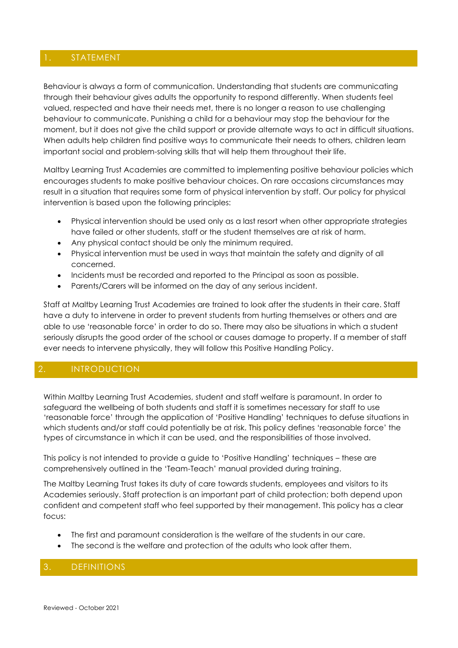### 1. STATEMENT

Behaviour is always a form of communication. Understanding that students are communicating through their behaviour gives adults the opportunity to respond differently. When students feel valued, respected and have their needs met, there is no longer a reason to use challenging behaviour to communicate. Punishing a child for a behaviour may stop the behaviour for the moment, but it does not give the child support or provide alternate ways to act in difficult situations. When adults help children find positive ways to communicate their needs to others, children learn important social and problem-solving skills that will help them throughout their life.

Maltby Learning Trust Academies are committed to implementing positive behaviour policies which encourages students to make positive behaviour choices. On rare occasions circumstances may result in a situation that requires some form of physical intervention by staff. Our policy for physical intervention is based upon the following principles:

- Physical intervention should be used only as a last resort when other appropriate strategies have failed or other students, staff or the student themselves are at risk of harm.
- Any physical contact should be only the minimum required.
- Physical intervention must be used in ways that maintain the safety and dignity of all concerned.
- Incidents must be recorded and reported to the Principal as soon as possible.
- Parents/Carers will be informed on the day of any serious incident.

Staff at Maltby Learning Trust Academies are trained to look after the students in their care. Staff have a duty to intervene in order to prevent students from hurting themselves or others and are able to use 'reasonable force' in order to do so. There may also be situations in which a student seriously disrupts the good order of the school or causes damage to property. If a member of staff ever needs to intervene physically, they will follow this Positive Handling Policy.

#### **INTRODUCTION**

Within Maltby Learning Trust Academies, student and staff welfare is paramount. In order to safeguard the wellbeing of both students and staff it is sometimes necessary for staff to use 'reasonable force' through the application of 'Positive Handling' techniques to defuse situations in which students and/or staff could potentially be at risk. This policy defines 'reasonable force' the types of circumstance in which it can be used, and the responsibilities of those involved.

This policy is not intended to provide a guide to 'Positive Handling' techniques – these are comprehensively outlined in the 'Team-Teach' manual provided during training.

The Maltby Learning Trust takes its duty of care towards students, employees and visitors to its Academies seriously. Staff protection is an important part of child protection; both depend upon confident and competent staff who feel supported by their management. This policy has a clear focus:

- The first and paramount consideration is the welfare of the students in our care.
- The second is the welfare and protection of the adults who look after them.

#### 3. DEFINITIONS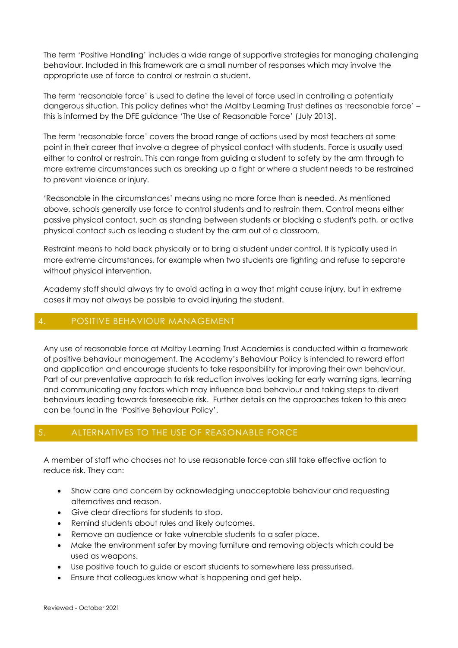The term 'Positive Handling' includes a wide range of supportive strategies for managing challenging behaviour. Included in this framework are a small number of responses which may involve the appropriate use of force to control or restrain a student.

The term 'reasonable force' is used to define the level of force used in controlling a potentially dangerous situation. This policy defines what the Maltby Learning Trust defines as 'reasonable force' – this is informed by the DFE guidance 'The Use of Reasonable Force' (July 2013).

The term 'reasonable force' covers the broad range of actions used by most teachers at some point in their career that involve a degree of physical contact with students. Force is usually used either to control or restrain. This can range from guiding a student to safety by the arm through to more extreme circumstances such as breaking up a fight or where a student needs to be restrained to prevent violence or injury.

'Reasonable in the circumstances' means using no more force than is needed. As mentioned above, schools generally use force to control students and to restrain them. Control means either passive physical contact, such as standing between students or blocking a student's path, or active physical contact such as leading a student by the arm out of a classroom.

Restraint means to hold back physically or to bring a student under control. It is typically used in more extreme circumstances, for example when two students are fighting and refuse to separate without physical intervention.

Academy staff should always try to avoid acting in a way that might cause injury, but in extreme cases it may not always be possible to avoid injuring the student.

### POSITIVE BEHAVIOUR MANAGEMENT

Any use of reasonable force at Maltby Learning Trust Academies is conducted within a framework of positive behaviour management. The Academy's Behaviour Policy is intended to reward effort and application and encourage students to take responsibility for improving their own behaviour. Part of our preventative approach to risk reduction involves looking for early warning signs, learning and communicating any factors which may influence bad behaviour and taking steps to divert behaviours leading towards foreseeable risk. Further details on the approaches taken to this area can be found in the 'Positive Behaviour Policy'.

## ALTERNATIVES TO THE USE OF REASONABLE FORCE

A member of staff who chooses not to use reasonable force can still take effective action to reduce risk. They can:

- Show care and concern by acknowledging unacceptable behaviour and requesting alternatives and reason.
- Give clear directions for students to stop.
- Remind students about rules and likely outcomes.
- Remove an audience or take vulnerable students to a safer place.
- Make the environment safer by moving furniture and removing objects which could be used as weapons.
- Use positive touch to guide or escort students to somewhere less pressurised.
- Ensure that colleagues know what is happening and get help.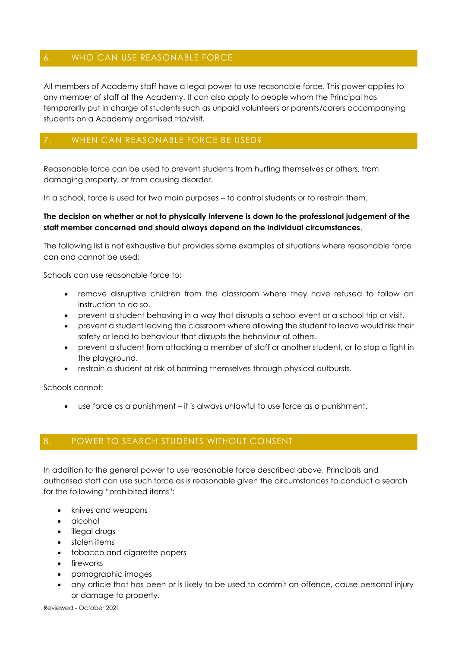## 6. WHO CAN USE REASONABLE FORCE

All members of Academy staff have a legal power to use reasonable force. This power applies to any member of staff at the Academy. It can also apply to people whom the Principal has temporarily put in charge of students such as unpaid volunteers or parents/carers accompanying students on a Academy organised trip/visit.

# WHEN CAN REASONABLE FORCE BE USED?

Reasonable force can be used to prevent students from hurting themselves or others, from damaging property, or from causing disorder.

In a school, force is used for two main purposes – to control students or to restrain them.

#### **The decision on whether or not to physically intervene is down to the professional judgement of the staff member concerned and should always depend on the individual circumstances**.

The following list is not exhaustive but provides some examples of situations where reasonable force can and cannot be used:

Schools can use reasonable force to:

- remove disruptive children from the classroom where they have refused to follow an instruction to do so.
- prevent a student behaving in a way that disrupts a school event or a school trip or visit.
- prevent a student leaving the classroom where allowing the student to leave would risk their safety or lead to behaviour that disrupts the behaviour of others.
- prevent a student from attacking a member of staff or another student, or to stop a fight in the playground.
- restrain a student at risk of harming themselves through physical outbursts.

Schools cannot:

• use force as a punishment – it is always unlawful to use force as a punishment.

# 8. POWER TO SEARCH STUDENTS WITHOUT CONSENT

In addition to the general power to use reasonable force described above, Principals and authorised staff can use such force as is reasonable given the circumstances to conduct a search for the following "prohibited items":

- knives and weapons
- alcohol
- illegal drugs
- stolen items
- tobacco and cigarette papers
- fireworks
- pornographic images
- any article that has been or is likely to be used to commit an offence, cause personal injury or damage to property.

Reviewed - October 2021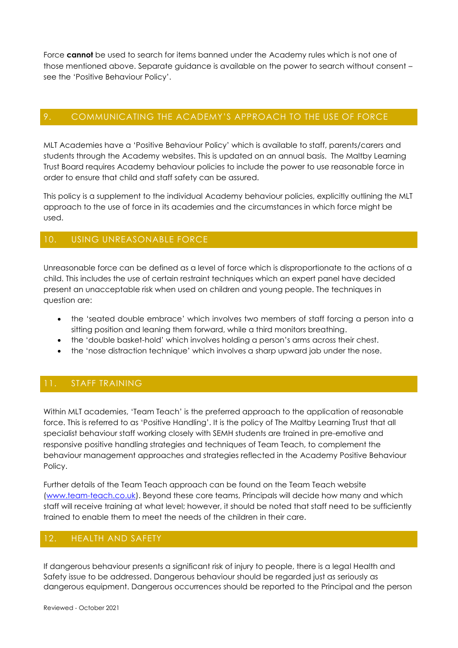Force **cannot** be used to search for items banned under the Academy rules which is not one of those mentioned above. Separate guidance is available on the power to search without consent – see the 'Positive Behaviour Policy'.

## 9. COMMUNICATING THE ACADEMY'S APPROACH TO THE USE OF FORCE

MLT Academies have a 'Positive Behaviour Policy' which is available to staff, parents/carers and students through the Academy websites. This is updated on an annual basis. The Maltby Learning Trust Board requires Academy behaviour policies to include the power to use reasonable force in order to ensure that child and staff safety can be assured.

This policy is a supplement to the individual Academy behaviour policies, explicitly outlining the MLT approach to the use of force in its academies and the circumstances in which force might be used.

## 10. USING UNREASONABLE FORCE

Unreasonable force can be defined as a level of force which is disproportionate to the actions of a child. This includes the use of certain restraint techniques which an expert panel have decided present an unacceptable risk when used on children and young people. The techniques in question are:

- the 'seated double embrace' which involves two members of staff forcing a person into a sitting position and leaning them forward, while a third monitors breathing.
- the 'double basket-hold' which involves holding a person's arms across their chest.
- the 'nose distraction technique' which involves a sharp upward jab under the nose.

## 11. STAFF TRAINING

Within MLT academies, 'Team Teach' is the preferred approach to the application of reasonable force. This is referred to as 'Positive Handling'. It is the policy of The Maltby Learning Trust that all specialist behaviour staff working closely with SEMH students are trained in pre-emotive and responsive positive handling strategies and techniques of Team Teach, to complement the behaviour management approaches and strategies reflected in the Academy Positive Behaviour Policy.

Further details of the Team Teach approach can be found on the Team Teach website [\(www.team-teach.co.uk\).](http://www.team-teach.co.uk/) Beyond these core teams, Principals will decide how many and which staff will receive training at what level; however, it should be noted that staff need to be sufficiently trained to enable them to meet the needs of the children in their care.

#### 12. HEALTH AND SAFETY

If dangerous behaviour presents a significant risk of injury to people, there is a legal Health and Safety issue to be addressed. Dangerous behaviour should be regarded just as seriously as dangerous equipment. Dangerous occurrences should be reported to the Principal and the person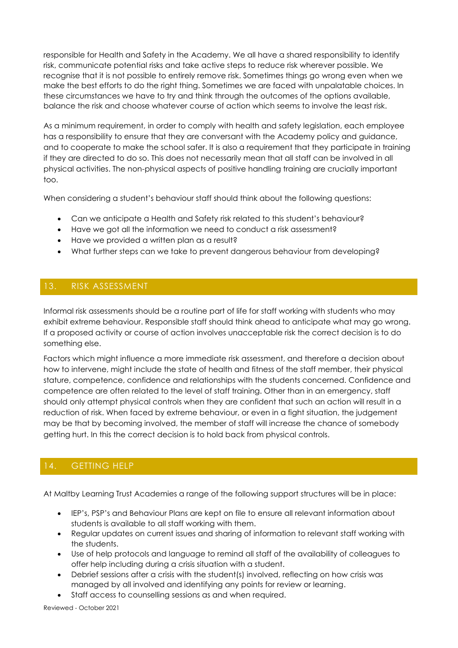responsible for Health and Safety in the Academy. We all have a shared responsibility to identify risk, communicate potential risks and take active steps to reduce risk wherever possible. We recognise that it is not possible to entirely remove risk. Sometimes things go wrong even when we make the best efforts to do the right thing. Sometimes we are faced with unpalatable choices. In these circumstances we have to try and think through the outcomes of the options available, balance the risk and choose whatever course of action which seems to involve the least risk.

As a minimum requirement, in order to comply with health and safety legislation, each employee has a responsibility to ensure that they are conversant with the Academy policy and guidance, and to cooperate to make the school safer. It is also a requirement that they participate in training if they are directed to do so. This does not necessarily mean that all staff can be involved in all physical activities. The non-physical aspects of positive handling training are crucially important too.

When considering a student's behaviour staff should think about the following questions:

- Can we anticipate a Health and Safety risk related to this student's behaviour?
- Have we got all the information we need to conduct a risk assessment?
- Have we provided a written plan as a result?
- What further steps can we take to prevent dangerous behaviour from developing?

## 13. RISK ASSESSMENT

Informal risk assessments should be a routine part of life for staff working with students who may exhibit extreme behaviour. Responsible staff should think ahead to anticipate what may go wrong. If a proposed activity or course of action involves unacceptable risk the correct decision is to do something else.

Factors which might influence a more immediate risk assessment, and therefore a decision about how to intervene, might include the state of health and fitness of the staff member, their physical stature, competence, confidence and relationships with the students concerned. Confidence and competence are often related to the level of staff training. Other than in an emergency, staff should only attempt physical controls when they are confident that such an action will result in a reduction of risk. When faced by extreme behaviour, or even in a fight situation, the judgement may be that by becoming involved, the member of staff will increase the chance of somebody getting hurt. In this the correct decision is to hold back from physical controls.

# 14. GETTING HELP

At Maltby Learning Trust Academies a range of the following support structures will be in place:

- IEP's, PSP's and Behaviour Plans are kept on file to ensure all relevant information about students is available to all staff working with them.
- Regular updates on current issues and sharing of information to relevant staff working with the students.
- Use of help protocols and language to remind all staff of the availability of colleagues to offer help including during a crisis situation with a student.
- Debrief sessions after a crisis with the student(s) involved, reflecting on how crisis was managed by all involved and identifying any points for review or learning.
- Staff access to counselling sessions as and when required.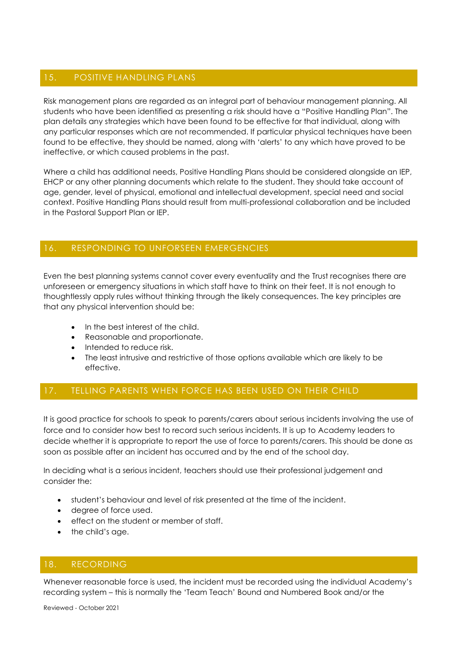# 15. POSITIVE HANDLING PLANS

Risk management plans are regarded as an integral part of behaviour management planning. All students who have been identified as presenting a risk should have a "Positive Handling Plan". The plan details any strategies which have been found to be effective for that individual, along with any particular responses which are not recommended. If particular physical techniques have been found to be effective, they should be named, along with 'alerts' to any which have proved to be ineffective, or which caused problems in the past.

Where a child has additional needs, Positive Handling Plans should be considered alongside an IEP, EHCP or any other planning documents which relate to the student. They should take account of age, gender, level of physical, emotional and intellectual development, special need and social context. Positive Handling Plans should result from multi-professional collaboration and be included in the Pastoral Support Plan or IEP.

## 16. RESPONDING TO UNFORSEEN EMERGENCIES

Even the best planning systems cannot cover every eventuality and the Trust recognises there are unforeseen or emergency situations in which staff have to think on their feet. It is not enough to thoughtlessly apply rules without thinking through the likely consequences. The key principles are that any physical intervention should be:

- In the best interest of the child.
- Reasonable and proportionate.
- Intended to reduce risk.
- The least intrusive and restrictive of those options available which are likely to be effective.

## 17. TELLING PARENTS WHEN FORCE HAS BEEN USED ON THEIR CHILD

It is good practice for schools to speak to parents/carers about serious incidents involving the use of force and to consider how best to record such serious incidents. It is up to Academy leaders to decide whether it is appropriate to report the use of force to parents/carers. This should be done as soon as possible after an incident has occurred and by the end of the school day.

In deciding what is a serious incident, teachers should use their professional judgement and consider the:

- student's behaviour and level of risk presented at the time of the incident.
- degree of force used.
- effect on the student or member of staff.
- the child's age.

## 18. RECORDING

Whenever reasonable force is used, the incident must be recorded using the individual Academy's recording system – this is normally the 'Team Teach' Bound and Numbered Book and/or the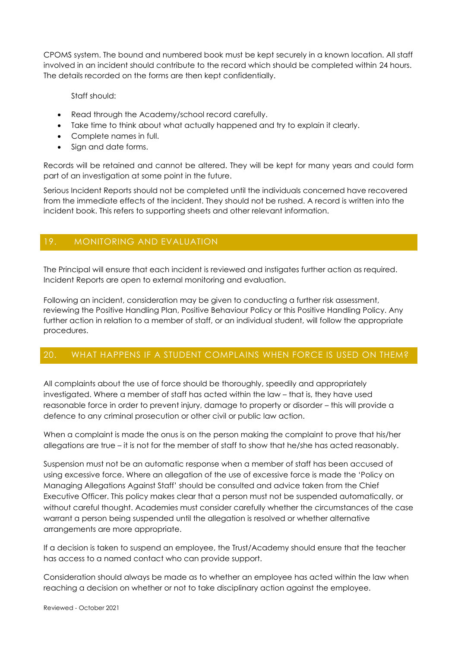CPOMS system. The bound and numbered book must be kept securely in a known location. All staff involved in an incident should contribute to the record which should be completed within 24 hours. The details recorded on the forms are then kept confidentially.

Staff should:

- Read through the Academy/school record carefully.
- Take time to think about what actually happened and try to explain it clearly.
- Complete names in full.
- Sign and date forms.

Records will be retained and cannot be altered. They will be kept for many years and could form part of an investigation at some point in the future.

Serious Incident Reports should not be completed until the individuals concerned have recovered from the immediate effects of the incident. They should not be rushed. A record is written into the incident book. This refers to supporting sheets and other relevant information.

### 19. MONITORING AND EVALUATION

The Principal will ensure that each incident is reviewed and instigates further action as required. Incident Reports are open to external monitoring and evaluation.

Following an incident, consideration may be given to conducting a further risk assessment, reviewing the Positive Handling Plan, Positive Behaviour Policy or this Positive Handling Policy. Any further action in relation to a member of staff, or an individual student, will follow the appropriate procedures.

## 20. WHAT HAPPENS IF A STUDENT COMPLAINS WHEN FORCE IS USED ON THEM?

All complaints about the use of force should be thoroughly, speedily and appropriately investigated. Where a member of staff has acted within the law – that is, they have used reasonable force in order to prevent injury, damage to property or disorder – this will provide a defence to any criminal prosecution or other civil or public law action.

When a complaint is made the onus is on the person making the complaint to prove that his/her allegations are true – it is not for the member of staff to show that he/she has acted reasonably.

Suspension must not be an automatic response when a member of staff has been accused of using excessive force. Where an allegation of the use of excessive force is made the 'Policy on Managing Allegations Against Staff' should be consulted and advice taken from the Chief Executive Officer. This policy makes clear that a person must not be suspended automatically, or without careful thought. Academies must consider carefully whether the circumstances of the case warrant a person being suspended until the allegation is resolved or whether alternative arrangements are more appropriate.

If a decision is taken to suspend an employee, the Trust/Academy should ensure that the teacher has access to a named contact who can provide support.

Consideration should always be made as to whether an employee has acted within the law when reaching a decision on whether or not to take disciplinary action against the employee.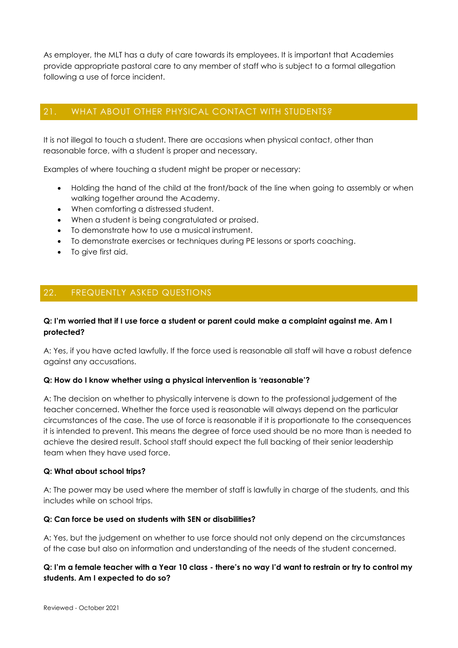As employer, the MLT has a duty of care towards its employees. It is important that Academies provide appropriate pastoral care to any member of staff who is subject to a formal allegation following a use of force incident.

## 21. WHAT ABOUT OTHER PHYSICAL CONTACT WITH STUDENTS?

It is not illegal to touch a student. There are occasions when physical contact, other than reasonable force, with a student is proper and necessary.

Examples of where touching a student might be proper or necessary:

- Holding the hand of the child at the front/back of the line when going to assembly or when walking together around the Academy.
- When comforting a distressed student.
- When a student is being congratulated or praised.
- To demonstrate how to use a musical instrument.
- To demonstrate exercises or techniques during PE lessons or sports coaching.
- To give first aid.

## 22. FREQUENTLY ASKED QUESTIONS

#### **Q: I'm worried that if I use force a student or parent could make a complaint against me. Am I protected?**

A: Yes, if you have acted lawfully. If the force used is reasonable all staff will have a robust defence against any accusations.

#### **Q: How do I know whether using a physical intervention is 'reasonable'?**

A: The decision on whether to physically intervene is down to the professional judgement of the teacher concerned. Whether the force used is reasonable will always depend on the particular circumstances of the case. The use of force is reasonable if it is proportionate to the consequences it is intended to prevent. This means the degree of force used should be no more than is needed to achieve the desired result. School staff should expect the full backing of their senior leadership team when they have used force.

#### **Q: What about school trips?**

A: The power may be used where the member of staff is lawfully in charge of the students, and this includes while on school trips.

#### **Q: Can force be used on students with SEN or disabilities?**

A: Yes, but the judgement on whether to use force should not only depend on the circumstances of the case but also on information and understanding of the needs of the student concerned.

#### **Q: I'm a female teacher with a Year 10 class - there's no way I'd want to restrain or try to control my students. Am I expected to do so?**